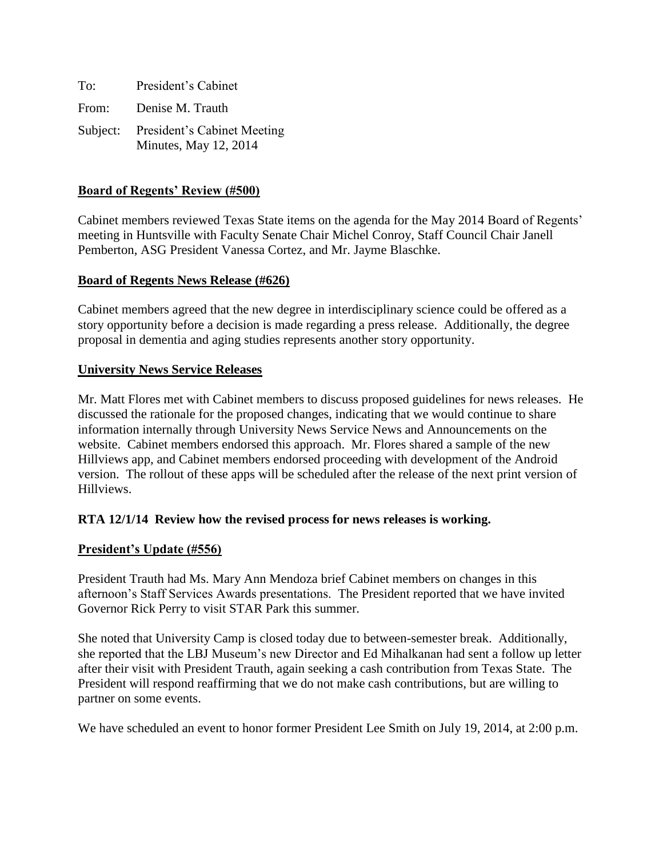| To:   | President's Cabinet                                           |
|-------|---------------------------------------------------------------|
| From: | Denise M. Trauth                                              |
|       | Subject: President's Cabinet Meeting<br>Minutes, May 12, 2014 |

### **Board of Regents' Review (#500)**

Cabinet members reviewed Texas State items on the agenda for the May 2014 Board of Regents' meeting in Huntsville with Faculty Senate Chair Michel Conroy, Staff Council Chair Janell Pemberton, ASG President Vanessa Cortez, and Mr. Jayme Blaschke.

#### **Board of Regents News Release (#626)**

Cabinet members agreed that the new degree in interdisciplinary science could be offered as a story opportunity before a decision is made regarding a press release. Additionally, the degree proposal in dementia and aging studies represents another story opportunity.

#### **University News Service Releases**

Mr. Matt Flores met with Cabinet members to discuss proposed guidelines for news releases. He discussed the rationale for the proposed changes, indicating that we would continue to share information internally through University News Service News and Announcements on the website. Cabinet members endorsed this approach. Mr. Flores shared a sample of the new Hillviews app, and Cabinet members endorsed proceeding with development of the Android version. The rollout of these apps will be scheduled after the release of the next print version of Hillviews.

#### **RTA 12/1/14 Review how the revised process for news releases is working.**

#### **President's Update (#556)**

President Trauth had Ms. Mary Ann Mendoza brief Cabinet members on changes in this afternoon's Staff Services Awards presentations. The President reported that we have invited Governor Rick Perry to visit STAR Park this summer.

She noted that University Camp is closed today due to between-semester break. Additionally, she reported that the LBJ Museum's new Director and Ed Mihalkanan had sent a follow up letter after their visit with President Trauth, again seeking a cash contribution from Texas State. The President will respond reaffirming that we do not make cash contributions, but are willing to partner on some events.

We have scheduled an event to honor former President Lee Smith on July 19, 2014, at 2:00 p.m.